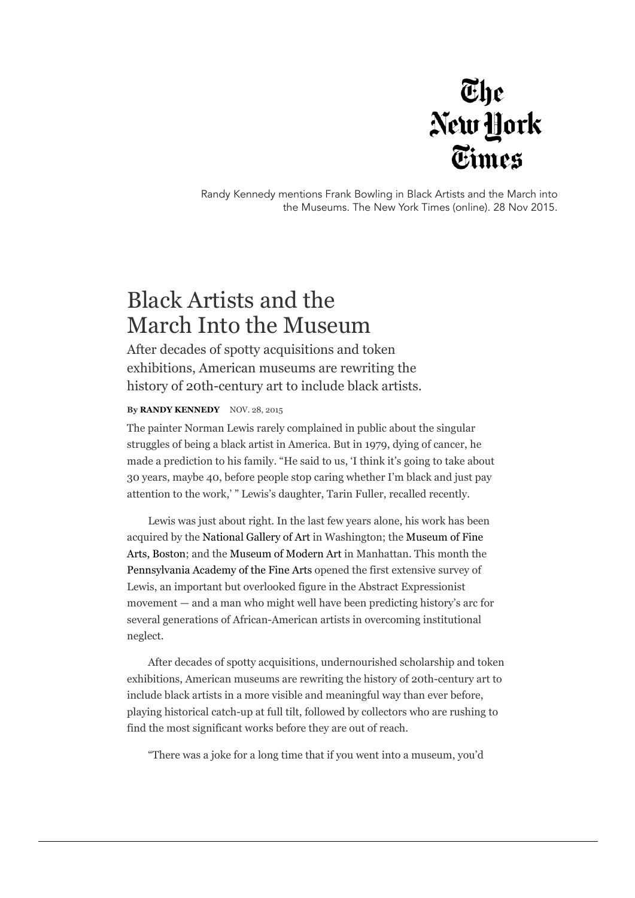Randy Kennedy mentions Frank Bowling in Black Artists and the March into the Museums. The New York Times (online). 28 Nov 2015.

#### Black Artists and the March Into the Museum

After decades of spotty acquisitions and token exhibitions, American museums are rewriting the history of 20th-century art to include black artists.

#### **By RANDY KENNEDY** NOV. 28, 2015

The painter Norman Lewis rarely complained in public about the singular struggles of being a black artist in America. But in 1979, dying of cancer, he made a prediction to his family. "He said to us, 'I think it's going to take about 30 years, maybe 40, before people stop caring whether I'm black and just pay attention to the work,'" Lewis's daughter, Tarin Fuller, recalled recently.

Lewis was just about right. In the last few years alone, his work has been acquired by the National Gallery of Art in Washington; the Museum of Fine Arts, Boston; and the Museum of Modern Art in Manhattan. This month the Pennsylvania Academy of the Fine Arts opened the first extensive survey of Lewis, an important but overlooked figure in the Abstract Expressionist movement — and a man who might well have been predicting history's arc for several generations of African-American artists in overcoming institutional neglect.

After decades of spotty acquisitions, undernourished scholarship and token exhibitions, American museums are rewriting the history of 20th-century art to include black artists in a more visible and meaningful way than ever before, playing historical catch-up at full tilt, followed by collectors who are rushing to find the most significant works before they are out of reach.

"There was a joke for a long time that if you went into a museum, you'd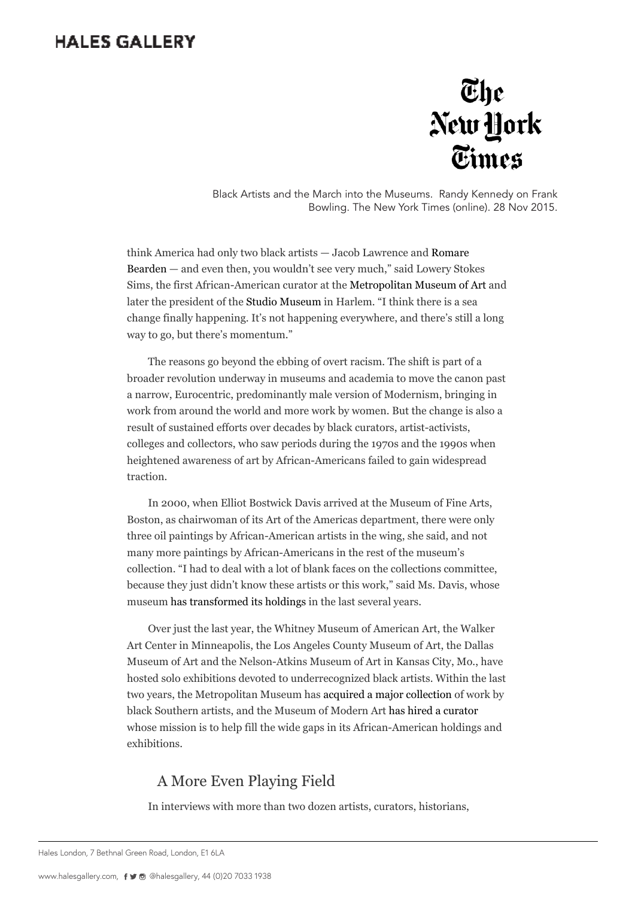#### HALES GALLERY

#### The<br>New York<br>Times

Black Artists and the March into the Museums. Randy Kennedy on Frank Bowling. The New York Times (online). 28 Nov 2015.

think America had only two black artists — Jacob Lawrence and Romare Bearden — and even then, you wouldn't see very much," said Lowery Stokes Sims, the first African-American curator at the Metropolitan Museum of Art and later the president of the Studio Museum in Harlem. "I think there is a sea change finally happening. It's not happening everywhere, and there's still a long way to go, but there's momentum."

The reasons go beyond the ebbing of overt racism. The shift is part of a broader revolution underway in museums and academia to move the canon past a narrow, Eurocentric, predominantly male version of Modernism, bringing in work from around the world and more work by women. But the change is also a result of sustained efforts over decades by black curators, artist-activists, colleges and collectors, who saw periods during the 1970s and the 1990s when heightened awareness of art by African-Americans failed to gain widespread traction.

In 2000, when Elliot Bostwick Davis arrived at the Museum of Fine Arts, Boston, as chairwoman of its Art of the Americas department, there were only three oil paintings by African-American artists in the wing, she said, and not many more paintings by African-Americans in the rest of the museum's collection. "I had to deal with a lot of blank faces on the collections committee, because they just didn't know these artists or this work," said Ms. Davis, whose museum has transformed its holdings in the last several years.

Over just the last year, the Whitney Museum of American Art, the Walker Art Center in Minneapolis, the Los Angeles County Museum of Art, the Dallas Museum of Art and the Nelson-Atkins Museum of Art in Kansas City, Mo., have hosted solo exhibitions devoted to underrecognized black artists. Within the last two years, the Metropolitan Museum has acquired a major collection of work by black Southern artists, and the Museum of Modern Art has hired a curator whose mission is to help fill the wide gaps in its African-American holdings and exhibitions.

#### A More Even Playing Field

Andrew Bick Exit Variant [titled] A, 2012. *acrylic, charcoal, pencil, oil paint and wax on linen and wood.*  $\frac{1}{2}$  138  $\frac{1}{2}$  138  $\frac{1}{2}$   $\frac{1}{2}$  in  $\frac{1}{2}$  in  $\frac{1}{2}$  in  $\frac{1}{2}$  in  $\frac{1}{2}$ In interviews with more than two dozen artists, curators, historians,

http://www.nytimes.com/2015/11/29/arts/design/black-artists-and-the-march-into-the-museum.html?\_r=0?register=facebook Page 2 of 7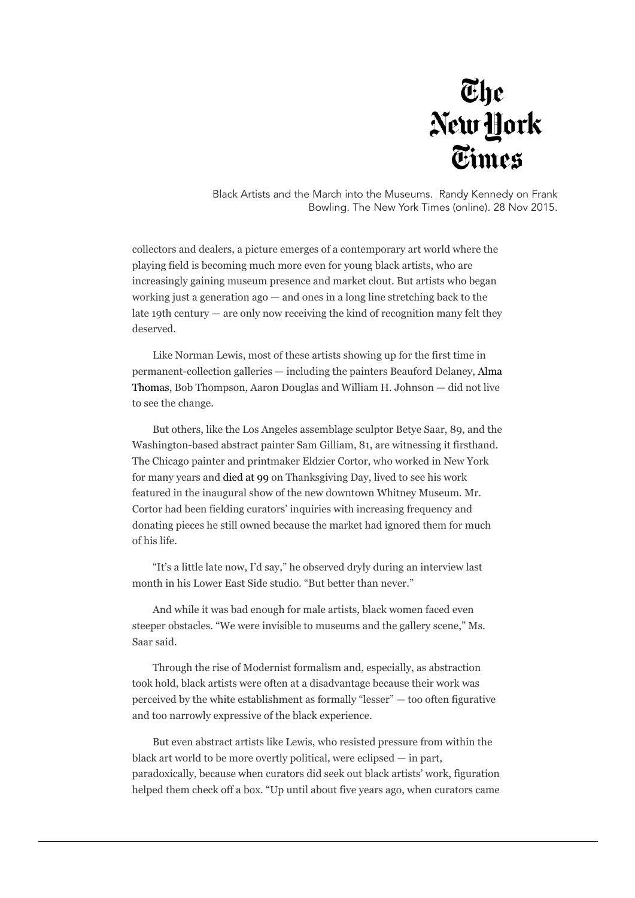Black Artists and the March into the Museums. Randy Kennedy on Frank Bowling. The New York Times (online). 28 Nov 2015.

collectors and dealers, a picture emerges of a contemporary art world where the playing field is becoming much more even for young black artists, who are increasingly gaining museum presence and market clout. But artists who began working just a generation ago — and ones in a long line stretching back to the late 19th century — are only now receiving the kind of recognition many felt they deserved.

Like Norman Lewis, most of these artists showing up for the first time in permanent-collection galleries — including the painters Beauford Delaney, Alma Thomas, Bob Thompson, Aaron Douglas and William H. Johnson — did not live to see the change.

But others, like the Los Angeles assemblage sculptor Betye Saar, 89, and the Washington-based abstract painter Sam Gilliam, 81, are witnessing it firsthand. The Chicago painter and printmaker Eldzier Cortor, who worked in New York for many years and died at 99 on Thanksgiving Day, lived to see his work featured in the inaugural show of the new downtown Whitney Museum. Mr. Cortor had been fielding curators' inquiries with increasing frequency and donating pieces he still owned because the market had ignored them for much of his life.

"It's a little late now, I'd say," he observed dryly during an interview last month in his Lower East Side studio. "But better than never."

And while it was bad enough for male artists, black women faced even steeper obstacles. "We were invisible to museums and the gallery scene," Ms. Saar said.

Through the rise of Modernist formalism and, especially, as abstraction took hold, black artists were often at a disadvantage because their work was perceived by the white establishment as formally "lesser" — too often figurative and too narrowly expressive of the black experience.

helped them check off a box. "Up until about five years ago, when curators came But even abstract artists like Lewis, who resisted pressure from within the black art world to be more overtly political, were eclipsed — in part, paradoxically, because when curators did seek out black artists' work, figuration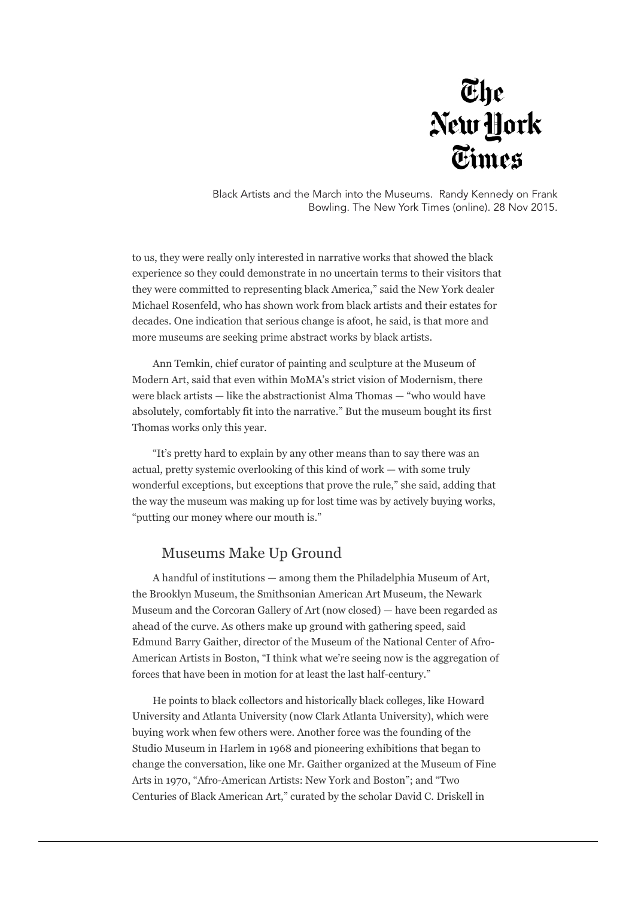Black Artists and the March into the Museums. Randy Kennedy on Frank Bowling. The New York Times (online). 28 Nov 2015.

to us, they were really only interested in narrative works that showed the black experience so they could demonstrate in no uncertain terms to their visitors that they were committed to representing black America," said the New York dealer Michael Rosenfeld, who has shown work from black artists and their estates for decades. One indication that serious change is afoot, he said, is that more and more museums are seeking prime abstract works by black artists.

Ann Temkin, chief curator of painting and sculpture at the Museum of Modern Art, said that even within MoMA's strict vision of Modernism, there were black artists — like the abstractionist Alma Thomas — "who would have absolutely, comfortably fit into the narrative." But the museum bought its first Thomas works only this year.

"It's pretty hard to explain by any other means than to say there was an actual, pretty systemic overlooking of this kind of work — with some truly wonderful exceptions, but exceptions that prove the rule," she said, adding that the way the museum was making up for lost time was by actively buying works, "putting our money where our mouth is."

#### Museums Make Up Ground

A handful of institutions — among them the Philadelphia Museum of Art, the Brooklyn Museum, the Smithsonian American Art Museum, the Newark Museum and the Corcoran Gallery of Art (now closed) — have been regarded as ahead of the curve. As others make up ground with gathering speed, said Edmund Barry Gaither, director of the Museum of the National Center of Afro-American Artists in Boston, "I think what we're seeing now is the aggregation of forces that have been in motion for at least the last half-century."

Centuries of Black American Art," curated by the scholar David C. Driskell in He points to black collectors and historically black colleges, like Howard University and Atlanta University (now Clark Atlanta University), which were buying work when few others were. Another force was the founding of the Studio Museum in Harlem in 1968 and pioneering exhibitions that began to change the conversation, like one Mr. Gaither organized at the Museum of Fine Arts in 1970, "Afro-American Artists: New York and Boston"; and "Two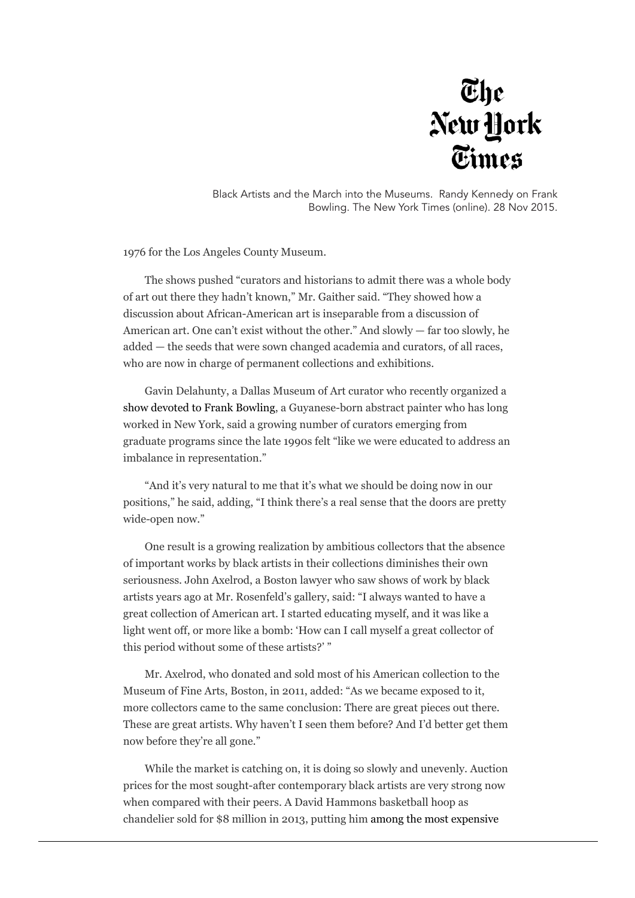Black Artists and the March into the Museums. Randy Kennedy on Frank Bowling. The New York Times (online). 28 Nov 2015.

1976 for the Los Angeles County Museum.

The shows pushed "curators and historians to admit there was a whole body of art out there they hadn't known," Mr. Gaither said. "They showed how a discussion about African-American art is inseparable from a discussion of American art. One can't exist without the other." And slowly — far too slowly, he added — the seeds that were sown changed academia and curators, of all races, who are now in charge of permanent collections and exhibitions.

Gavin Delahunty, a Dallas Museum of Art curator who recently organized a show devoted to Frank Bowling, a Guyanese-born abstract painter who has long worked in New York, said a growing number of curators emerging from graduate programs since the late 1990s felt "like we were educated to address an imbalance in representation."

"And it's very natural to me that it's what we should be doing now in our positions," he said, adding, "I think there's a real sense that the doors are pretty wide-open now."

One result is a growing realization by ambitious collectors that the absence of important works by black artists in their collections diminishes their own seriousness. John Axelrod, a Boston lawyer who saw shows of work by black artists years ago at Mr. Rosenfeld's gallery, said: "I always wanted to have a great collection of American art. I started educating myself, and it was like a light went off, or more like a bomb: 'How can I call myself a great collector of this period without some of these artists?' "

Mr. Axelrod, who donated and sold most of his American collection to the Museum of Fine Arts, Boston, in 2011, added: "As we became exposed to it, more collectors came to the same conclusion: There are great pieces out there. These are great artists. Why haven't I seen them before? And I'd better get them now before they're all gone."

when compared with their peers. A David Hammons basketball hoop as chandelier sold for \$8 million in 2013, putting him among the most expensive While the market is catching on, it is doing so slowly and unevenly. Auction prices for the most sought-after contemporary black artists are very strong now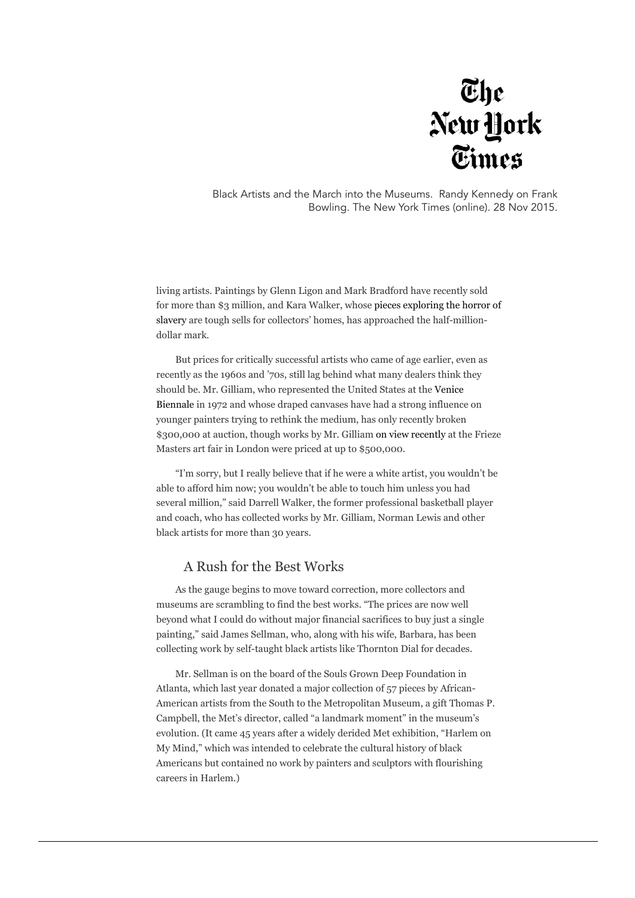Black Artists and the March into the Museums. Randy Kennedy on Frank Bowling. The New York Times (online). 28 Nov 2015.

living artists. Paintings by Glenn Ligon and Mark Bradford have recently sold for more than \$3 million, and Kara Walker, whose pieces exploring the horror of slavery are tough sells for collectors' homes, has approached the half-milliondollar mark.

But prices for critically successful artists who came of age earlier, even as recently as the 1960s and '70s, still lag behind what many dealers think they should be. Mr. Gilliam, who represented the United States at the Venice Biennale in 1972 and whose draped canvases have had a strong influence on younger painters trying to rethink the medium, has only recently broken \$300,000 at auction, though works by Mr. Gilliam on view recently at the Frieze Masters art fair in London were priced at up to \$500,000.

"I'm sorry, but I really believe that if he were a white artist, you wouldn't be able to afford him now; you wouldn't be able to touch him unless you had several million," said Darrell Walker, the former professional basketball player and coach, who has collected works by Mr. Gilliam, Norman Lewis and other black artists for more than 30 years.

#### A Rush for the Best Works

As the gauge begins to move toward correction, more collectors and museums are scrambling to find the best works. "The prices are now well beyond what I could do without major financial sacrifices to buy just a single painting," said James Sellman, who, along with his wife, Barbara, has been collecting work by self-taught black artists like Thornton Dial for decades.

Mr. Sellman is on the board of the Souls Grown Deep Foundation in Atlanta, which last year donated a major collection of 57 pieces by African-American artists from the South to the Metropolitan Museum, a gift Thomas P. Campbell, the Met's director, called "a landmark moment" in the museum's evolution. (It came 45 years after a widely derided Met exhibition, "Harlem on My Mind," which was intended to celebrate the cultural history of black Americans but contained no work by painters and sculptors with flourishing careers in Harlem.)